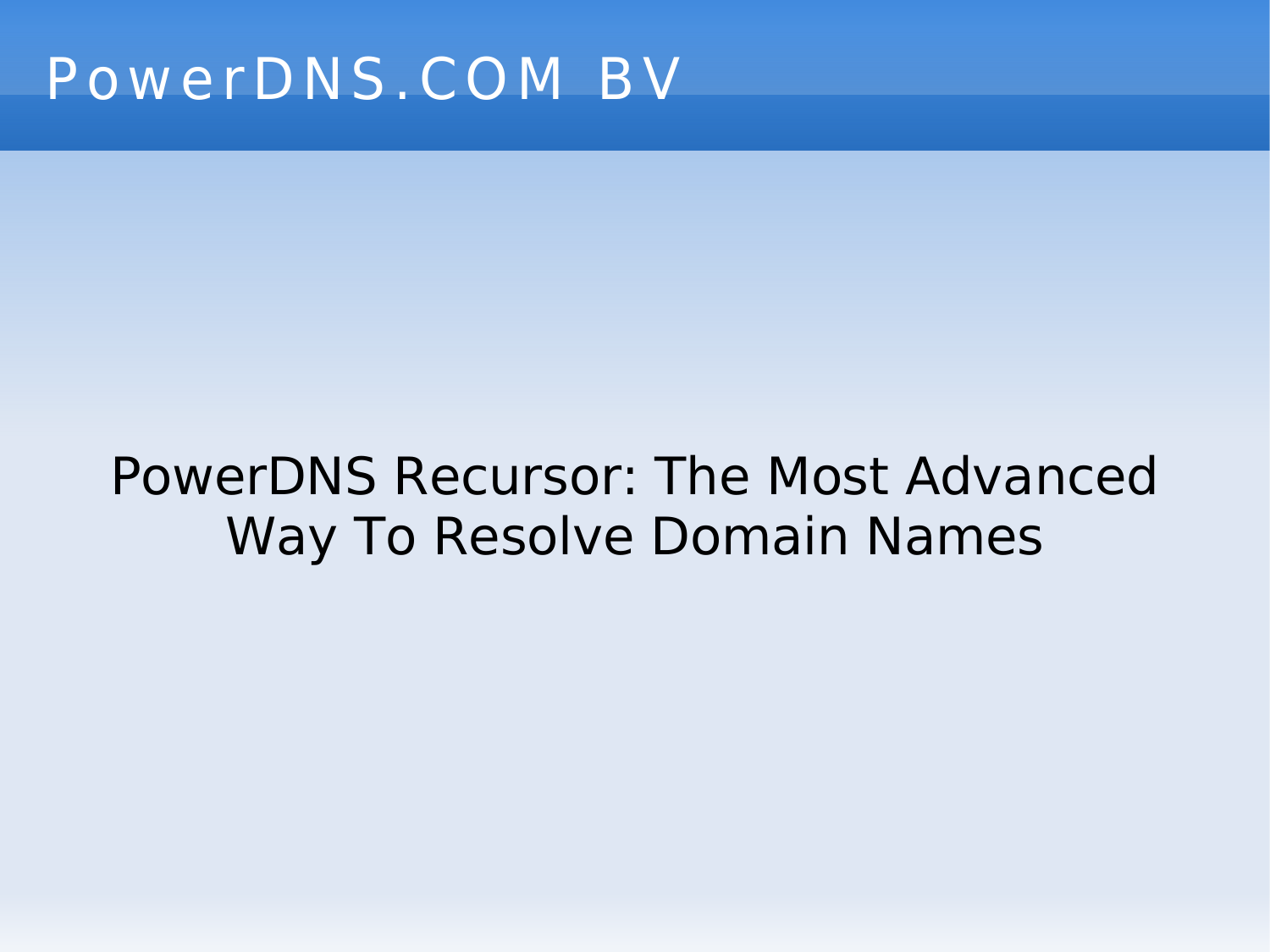#### PowerDNS Recursor: The Most Advanced **Way To Resolve Domain Names**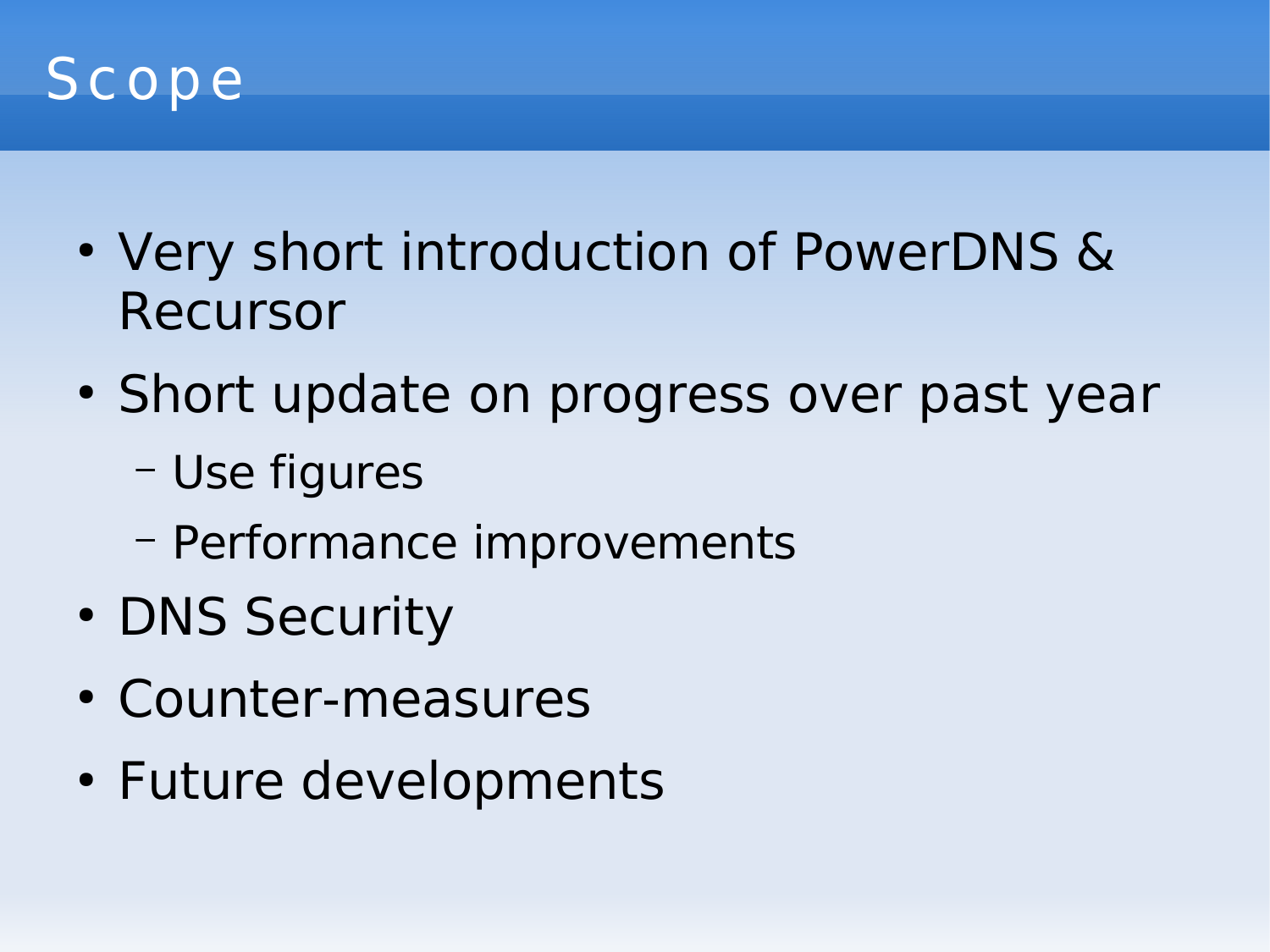

- Very short introduction of PowerDNS & Recursor
- Short update on progress over past year
	- Use figures
	- Performance improvements
- DNS Security
- Counter-measures
- Future developments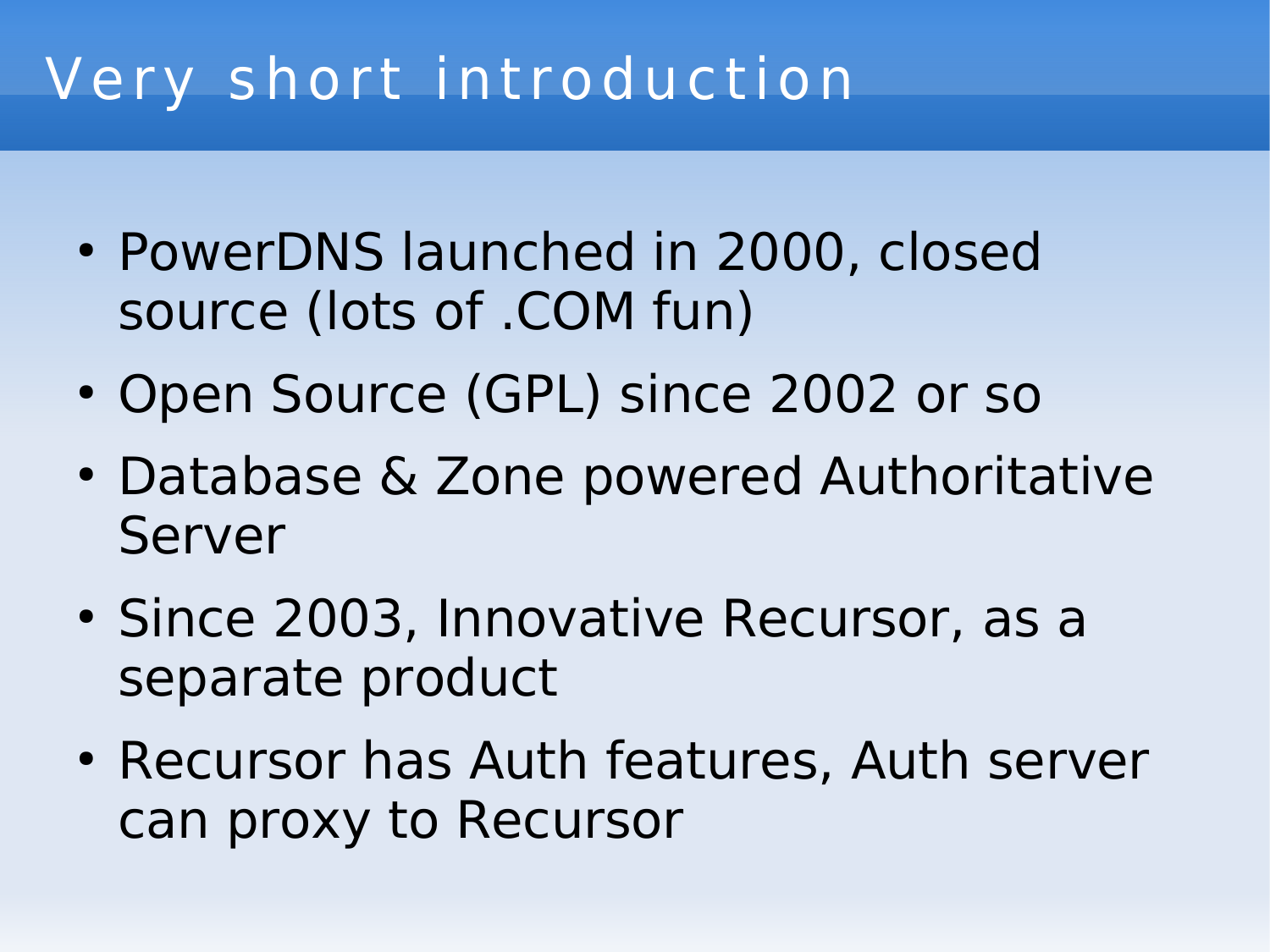## Very short introduction

- PowerDNS launched in 2000, closed source (lots of .COM fun)
- Open Source (GPL) since 2002 or so
- Database & Zone powered Authoritative Server
- Since 2003, Innovative Recursor, as a separate product
- Recursor has Auth features, Auth server can proxy to Recursor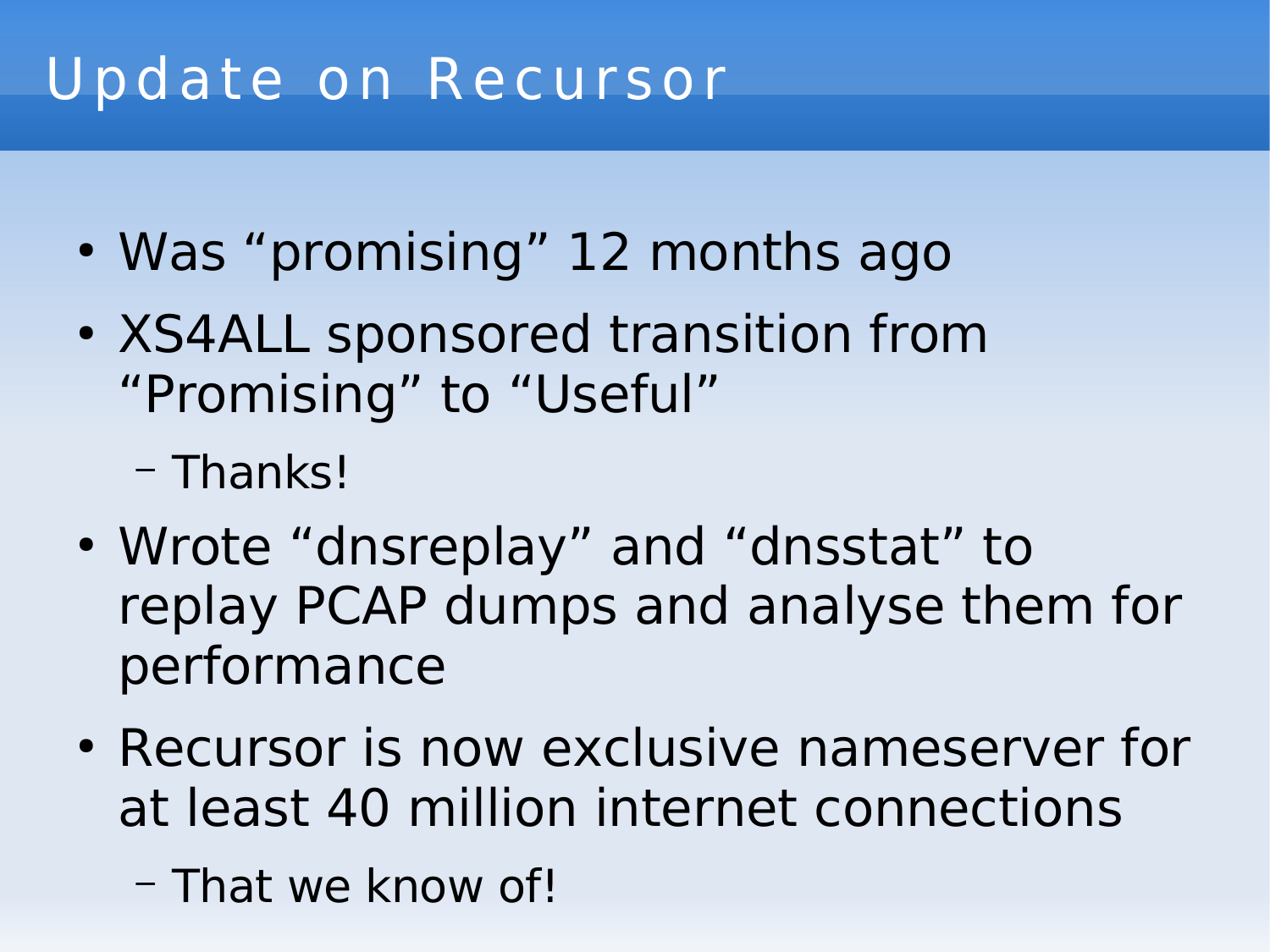### Update on Recursor

- Was "promising" 12 months ago
- XS4ALL sponsored transition from "Promising" to "Useful"
	- Thanks!
- Wrote "dnsreplay" and "dnsstat" to replay PCAP dumps and analyse them for performance
- Recursor is now exclusive nameserver for at least 40 million internet connections
	- That we know of!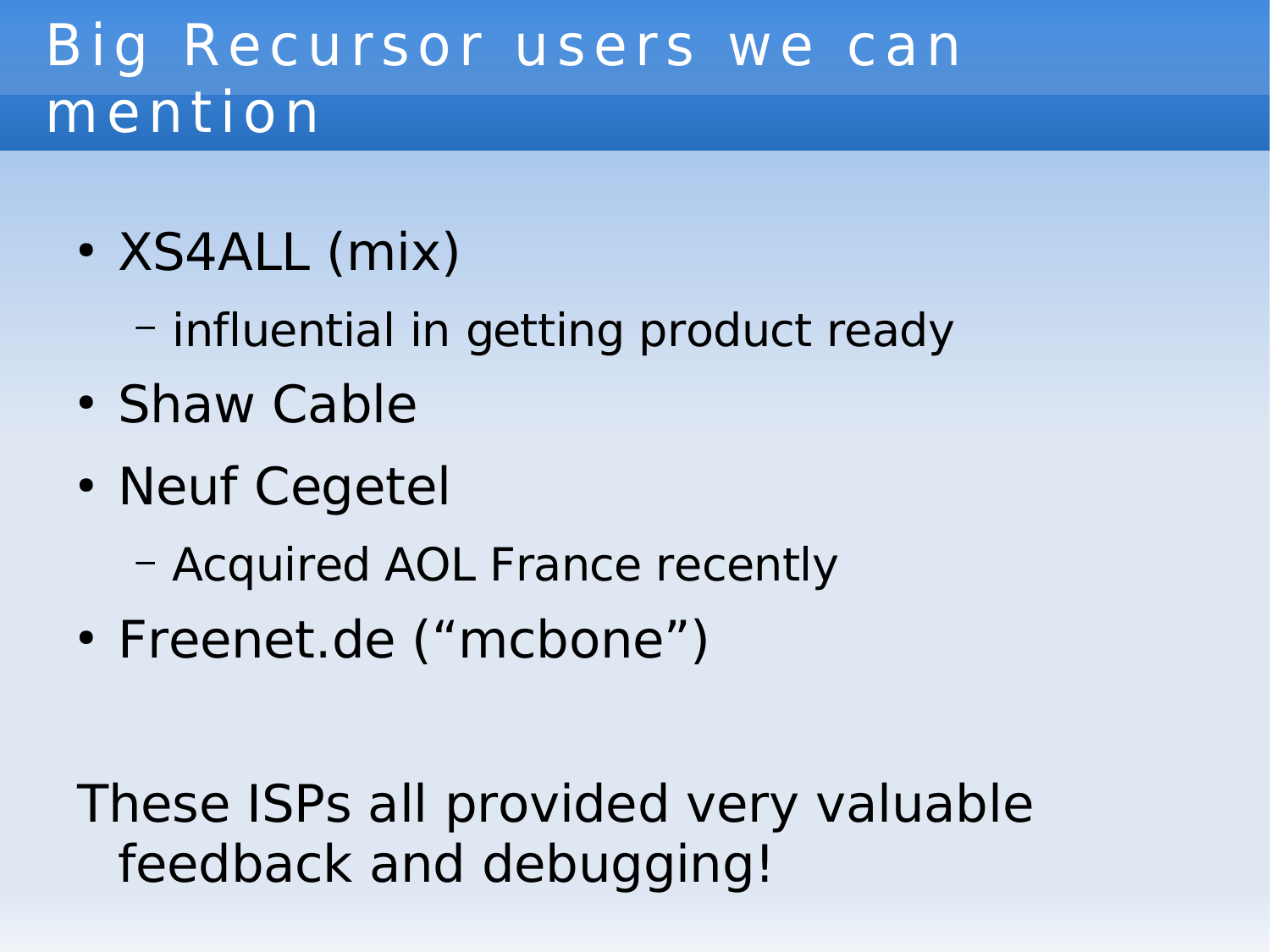#### Big Recursor users we can mention

- XS4ALL (mix)
	- influential in getting product ready
- Shaw Cable
- Neuf Cegetel
	- Acquired AOL France recently
- Freenet.de ("mcbone")

These ISPs all provided very valuable feedback and debugging!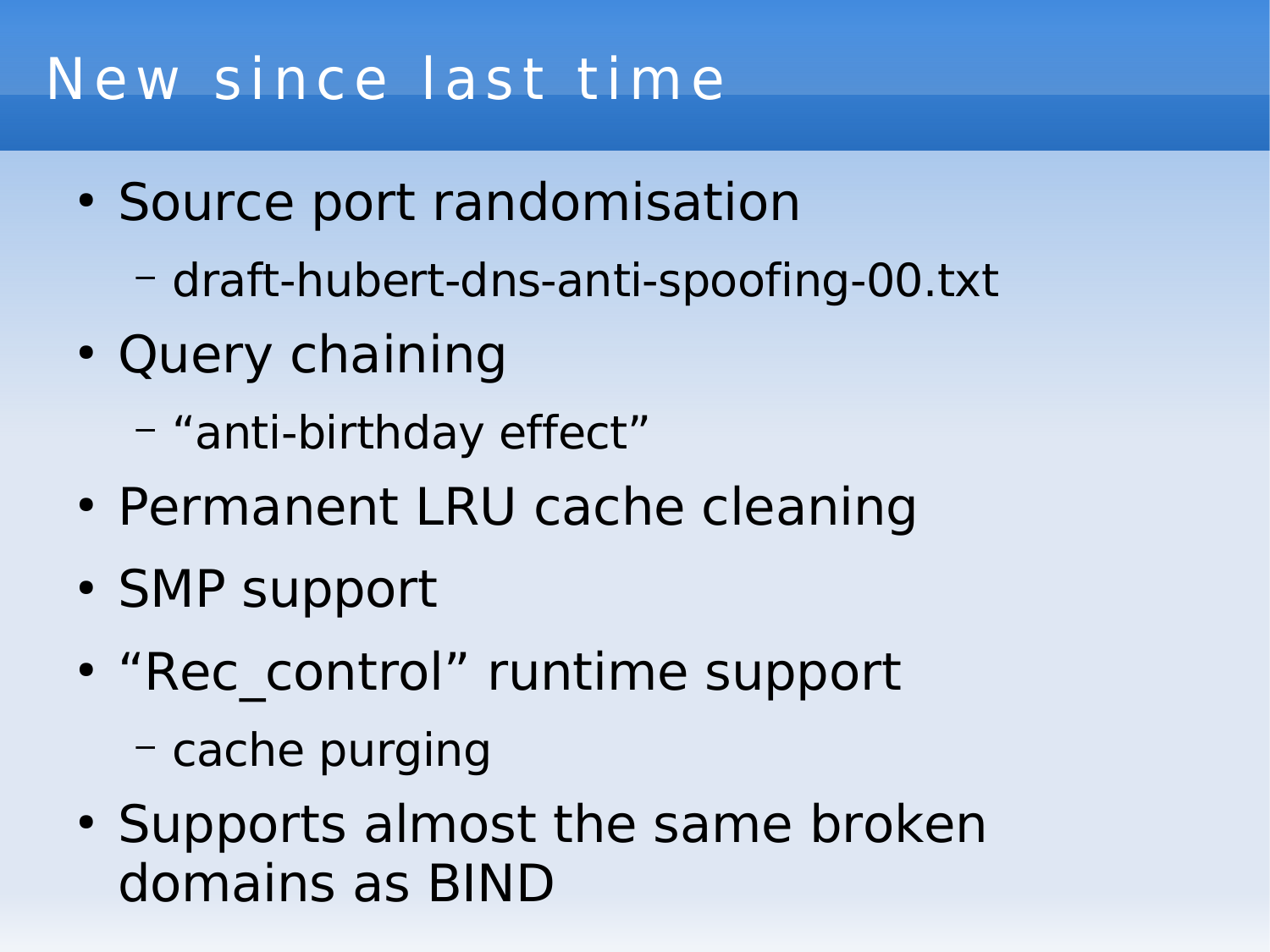#### New since last time

- Source port randomisation – draft-hubert-dns-anti-spoofing-00.txt
- Query chaining
	- "anti-birthday effect"
- Permanent LRU cache cleaning
- SMP support
- "Rec\_control" runtime support – cache purging
- Supports almost the same broken domains as BIND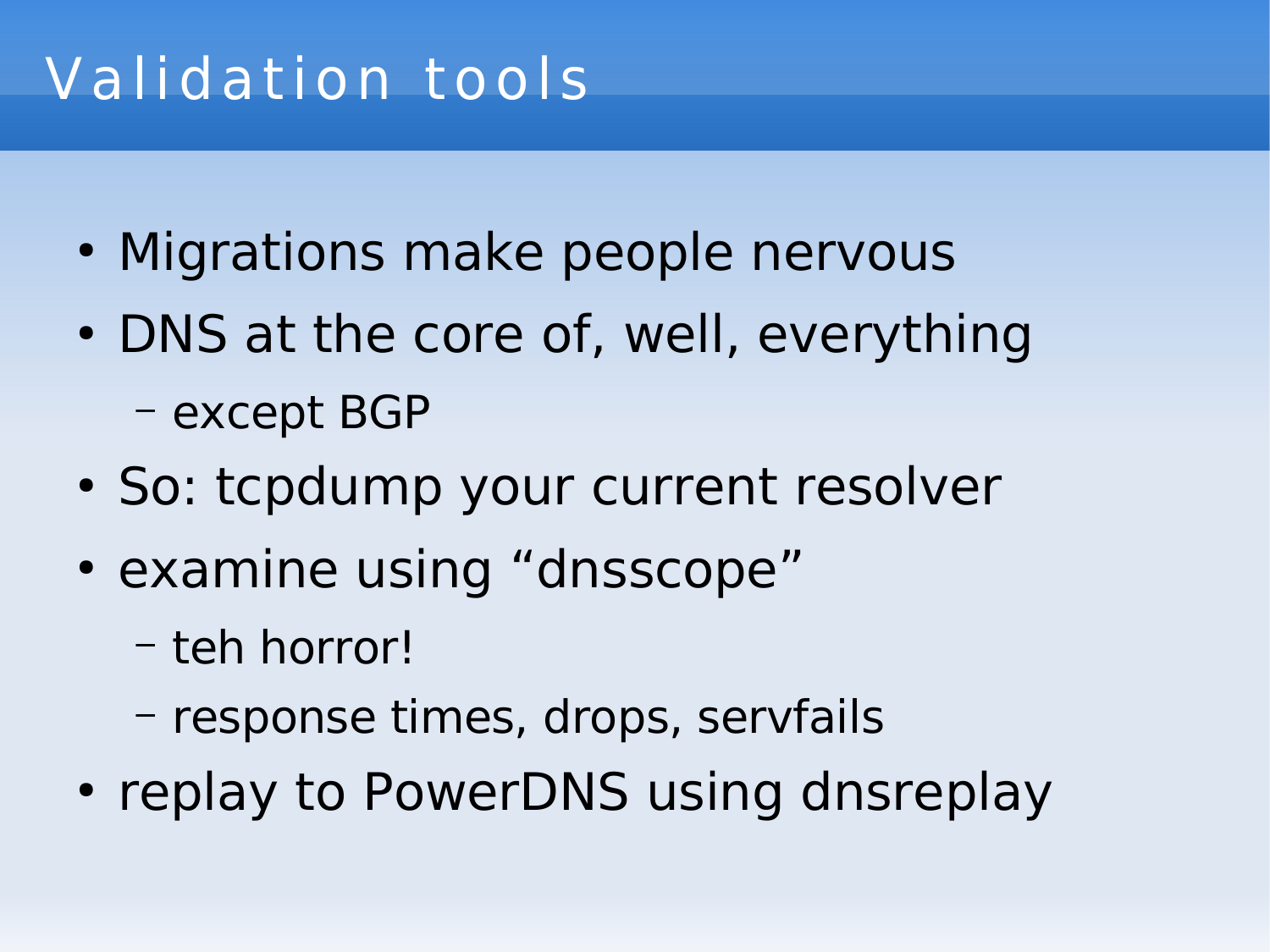### Validation tools

- Migrations make people nervous
- DNS at the core of, well, everything – except BGP
- So: tcpdump your current resolver
- examine using "dnsscope"
	- teh horror!
	- response times, drops, servfails
- replay to PowerDNS using dnsreplay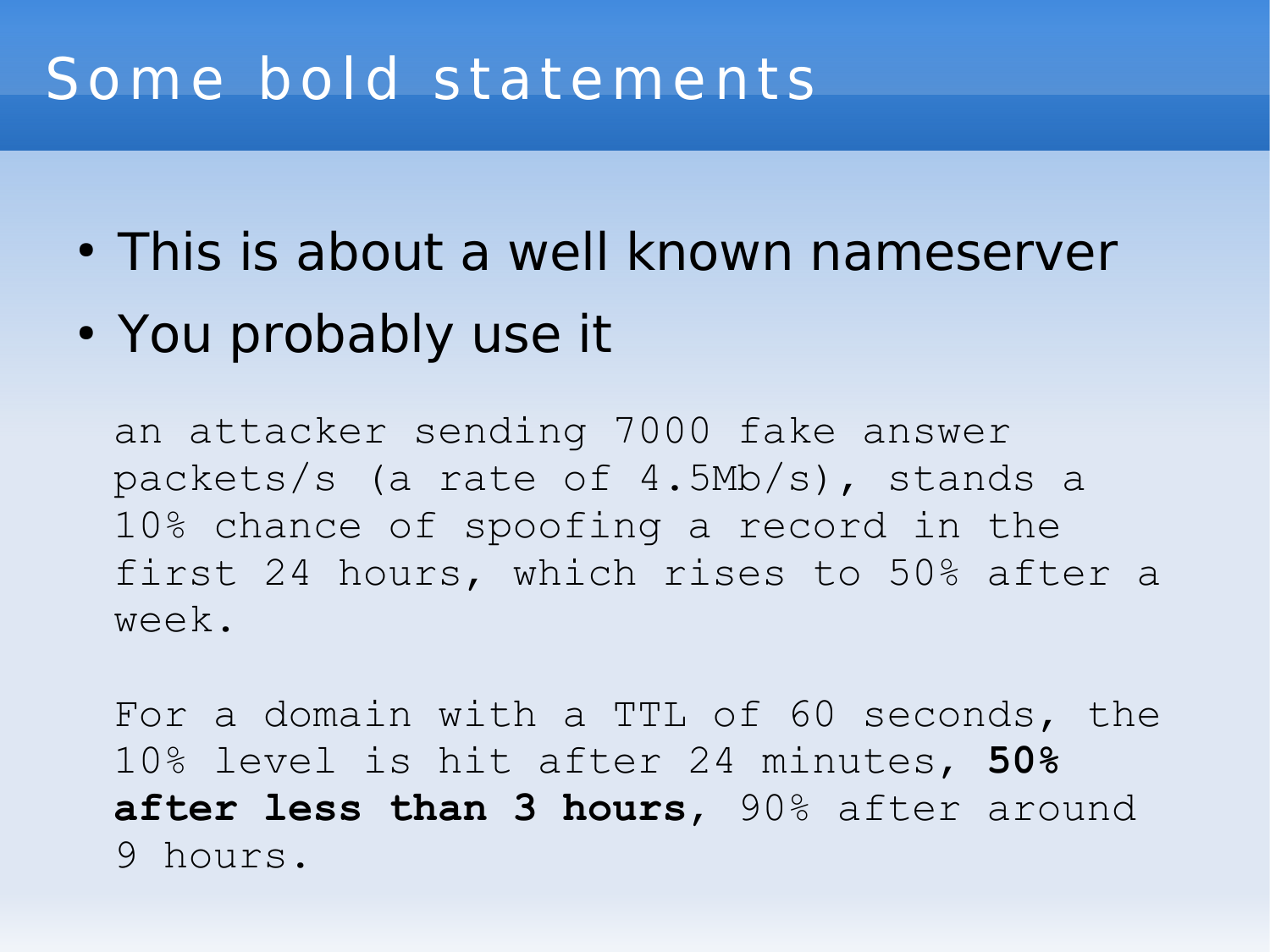#### Some bold statements

- This is about a well known nameserver
- You probably use it

an attacker sending 7000 fake answer packets/s (a rate of 4.5Mb/s), stands a 10% chance of spoofing a record in the first 24 hours, which rises to 50% after a week.

For a domain with a TTL of 60 seconds, the 10% level is hit after 24 minutes, **50% after less than 3 hours**, 90% after around 9 hours.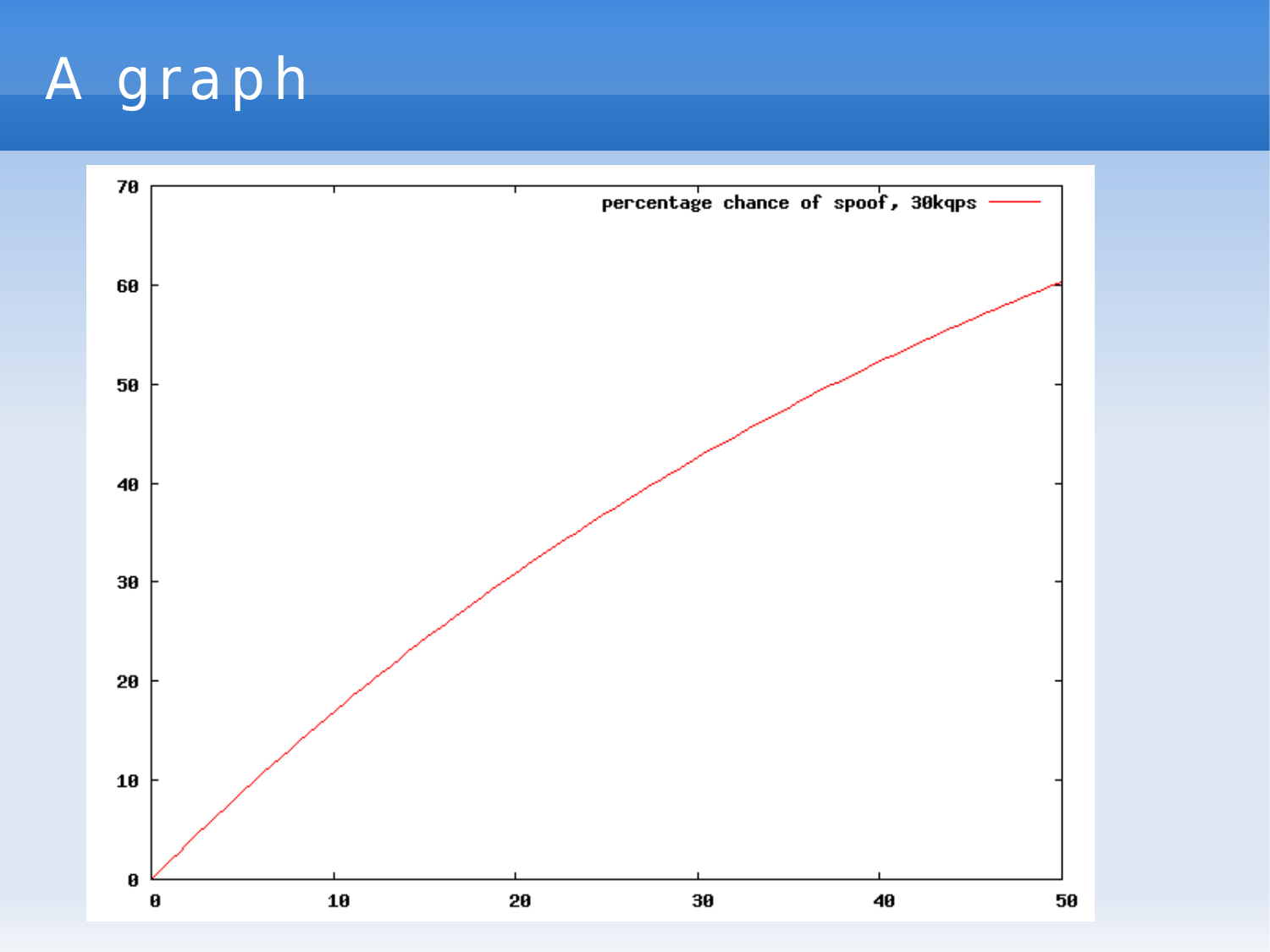# A graph

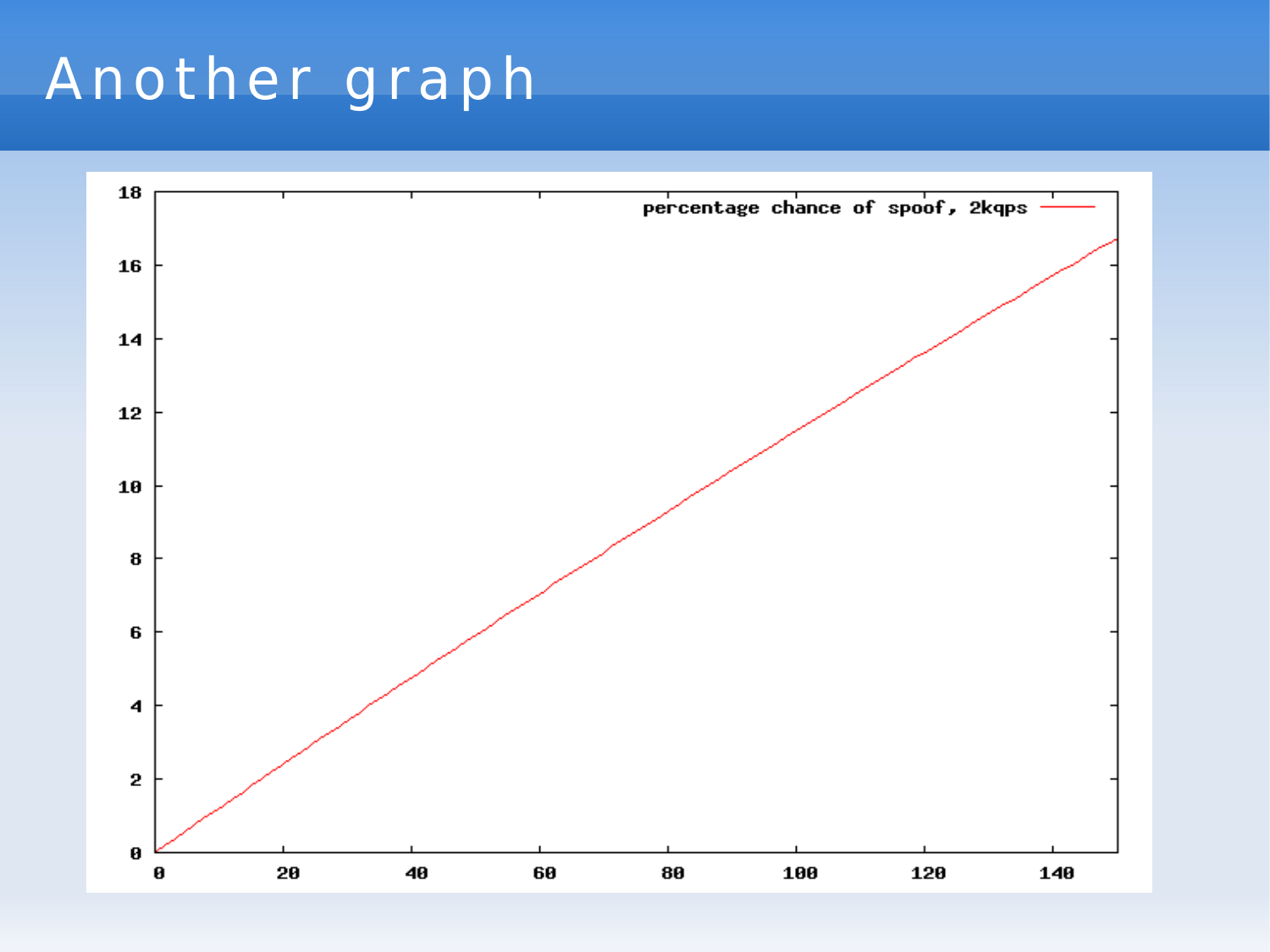#### Another graph